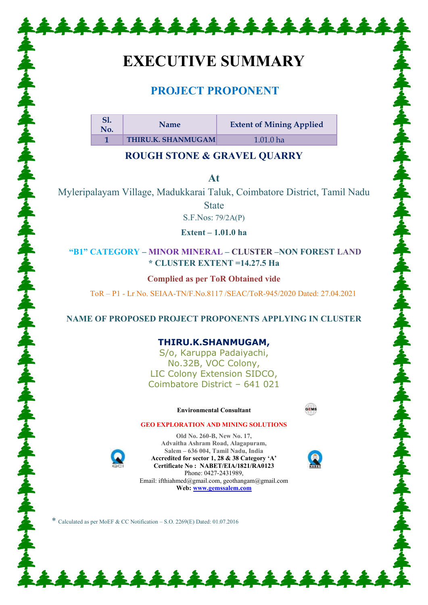# **EXECUTIVE SUMMARY**

\*\*\*\*\*\*\*\*\*\*\*\*\*\*\*\*\*\*\*

# **PROJECT PROPONENT**

| S1.<br>No. | <b>Name</b>               | <b>Extent of Mining Applied</b> |
|------------|---------------------------|---------------------------------|
|            | <b>THIRU.K. SHANMUGAM</b> | $1.01.0$ ha                     |

# **ROUGH STONE & GRAVEL QUARRY**

**At** 

Myleripalayam Village, Madukkarai Taluk, Coimbatore District, Tamil Nadu State

S.F.Nos: 79/2A(P)

**Extent – 1.01.0 ha**

# **"B1" CATEGORY – MINOR MINERAL – CLUSTER –NON FOREST LAND \* CLUSTER EXTENT =14.27.5 Ha**

**Complied as per ToR Obtained vide** 

ToR – P1 - Lr No. SEIAA-TN/F.No.8117 /SEAC/ToR-945/2020 Dated: 27.04.2021

# **NAME OF PROPOSED PROJECT PROPONENTS APPLYING IN CLUSTER**

# **THIRU.K.SHANMUGAM,**

S/o, Karuppa Padaiyachi, No.32B, VOC Colony, LIC Colony Extension SIDCO, Coimbatore District – 641 021

#### **Environmental Consultant**



#### **GEO EXPLORATION AND MINING SOLUTIONS Old No. 260-B, New No. 17,**



**Advaitha Ashram Road, Alagapuram, Salem – 636 004, Tamil Nadu, India Accredited for sector 1, 28 & 38 Category 'A' Certificate No : NABET/EIA/1821/RA0123**  Phone: 0427-2431989, Email: ifthiahmed@gmail.com, geothangam@gmail.com **Web[: www.gemssalem.com](http://www.gemssalem.com/)** 

\*\*\*\*\*\*\*\*\*\*\*\*\*\*

\* Calculated as per MoEF & CC Notification – S.O. 2269(E) Dated: 01.07.2016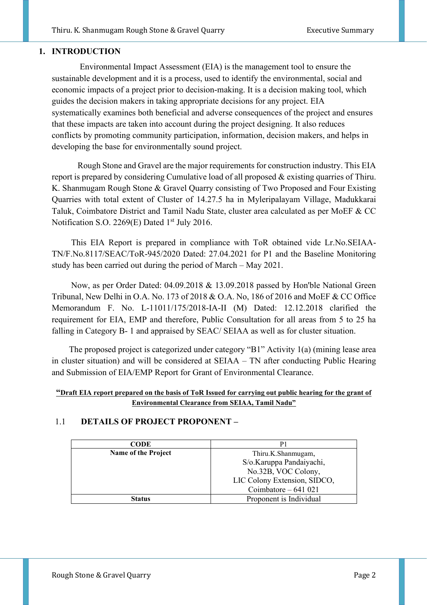# **1. INTRODUCTION**

 Environmental Impact Assessment (EIA) is the management tool to ensure the sustainable development and it is a process, used to identify the environmental, social and economic impacts of a project prior to decision-making. It is a decision making tool, which guides the decision makers in taking appropriate decisions for any project. EIA systematically examines both beneficial and adverse consequences of the project and ensures that these impacts are taken into account during the project designing. It also reduces conflicts by promoting community participation, information, decision makers, and helps in developing the base for environmentally sound project.

 Rough Stone and Gravel are the major requirements for construction industry. This EIA report is prepared by considering Cumulative load of all proposed & existing quarries of Thiru. K. Shanmugam Rough Stone & Gravel Quarry consisting of Two Proposed and Four Existing Quarries with total extent of Cluster of 14.27.5 ha in Myleripalayam Village, Madukkarai Taluk, Coimbatore District and Tamil Nadu State, cluster area calculated as per MoEF & CC Notification S.O. 2269(E) Dated 1<sup>st</sup> July 2016.

 This EIA Report is prepared in compliance with ToR obtained vide Lr.No.SEIAA-TN/F.No.8117/SEAC/ToR-945/2020 Dated: 27.04.2021 for P1 and the Baseline Monitoring study has been carried out during the period of March – May 2021.

 Now, as per Order Dated: 04.09.2018 & 13.09.2018 passed by Hon'ble National Green Tribunal, New Delhi in O.A. No. 173 of 2018 & O.A. No, 186 of 2016 and MoEF & CC Office Memorandum F. No. L-11011/175/2018-IA-II (M) Dated: 12.12.2018 clarified the requirement for EIA, EMP and therefore, Public Consultation for all areas from 5 to 25 ha falling in Category B- 1 and appraised by SEAC/ SEIAA as well as for cluster situation.

 The proposed project is categorized under category "B1" Activity 1(a) (mining lease area in cluster situation) and will be considered at SEIAA – TN after conducting Public Hearing and Submission of EIA/EMP Report for Grant of Environmental Clearance.

#### **"Draft EIA report prepared on the basis of ToR Issued for carrying out public hearing for the grant of Environmental Clearance from SEIAA, Tamil Nadu"**

# 1.1 **DETAILS OF PROJECT PROPONENT –**

| <b>CODE</b>                |                              |  |
|----------------------------|------------------------------|--|
| <b>Name of the Project</b> | Thiru.K.Shanmugam,           |  |
|                            | S/o.Karuppa Pandaiyachi,     |  |
|                            | No.32B, VOC Colony,          |  |
|                            | LIC Colony Extension, SIDCO, |  |
|                            | Coimbatore $-641$ 021        |  |
| Status                     | Proponent is Individual      |  |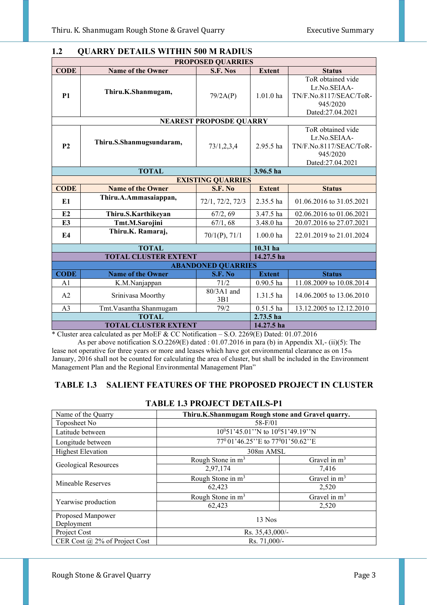| <b>PROPOSED QUARRIES</b>                  |                             |                                |               |                          |  |  |
|-------------------------------------------|-----------------------------|--------------------------------|---------------|--------------------------|--|--|
| <b>CODE</b>                               | <b>Name of the Owner</b>    | S.F. Nos                       | <b>Extent</b> | <b>Status</b>            |  |  |
| <b>P1</b>                                 |                             |                                |               | ToR obtained vide        |  |  |
|                                           |                             |                                |               | Lr.No.SEIAA-             |  |  |
|                                           | Thiru.K.Shanmugam,          | 79/2A(P)                       | $1.01.0$ ha   | TN/F.No.8117/SEAC/ToR-   |  |  |
|                                           |                             |                                |               | 945/2020                 |  |  |
|                                           |                             |                                |               | Dated:27.04.2021         |  |  |
|                                           |                             | <b>NEAREST PROPOSDE QUARRY</b> |               |                          |  |  |
|                                           |                             |                                |               | ToR obtained vide        |  |  |
|                                           | Thiru.S.Shanmugsundaram,    |                                |               | Lr.No.SEIAA-             |  |  |
| P <sub>2</sub>                            |                             | 73/1,2,3,4                     | 2.95.5 ha     | TN/F.No.8117/SEAC/ToR-   |  |  |
|                                           |                             |                                |               | 945/2020                 |  |  |
|                                           |                             |                                |               | Dated:27.04.2021         |  |  |
| <b>TOTAL</b><br>3.96.5 ha                 |                             |                                |               |                          |  |  |
|                                           |                             | <b>EXISTING QUARRIES</b>       |               |                          |  |  |
| <b>CODE</b>                               | <b>Name of the Owner</b>    | S.F. No                        | <b>Extent</b> | <b>Status</b>            |  |  |
| E1                                        | Thiru.A.Ammasaiappan,       | 72/1, 72/2, 72/3               | 2.35.5 ha     | 01.06.2016 to 31.05.2021 |  |  |
| E2                                        | Thiru.S.Karthikeyan         | 67/2, 69                       | 3.47.5 ha     | 02.06.2016 to 01.06.2021 |  |  |
| E3                                        | Tmt.M.Sarojini              | 67/1, 68                       | 3.48.0 ha     | 20.07.2016 to 27.07.2021 |  |  |
|                                           | Thiru.K. Ramaraj,           |                                |               |                          |  |  |
| E4                                        |                             | $70/1(P)$ , $71/1$             | $1.00.0$ ha   | 22.01.2019 to 21.01.2024 |  |  |
|                                           | <b>TOTAL</b>                |                                | $10.31$ ha    |                          |  |  |
|                                           | <b>TOTAL CLUSTER EXTENT</b> |                                | 14.27.5 ha    |                          |  |  |
|                                           | <b>ABANDONED QUARRIES</b>   |                                |               |                          |  |  |
| <b>CODE</b>                               | <b>Name of the Owner</b>    | S.F. No                        | <b>Extent</b> | <b>Status</b>            |  |  |
| A <sub>1</sub>                            | K.M.Nanjappan               | 71/2                           | $0.90.5$ ha   | 11.08.2009 to 10.08.2014 |  |  |
| A2                                        | Srinivasa Moorthy           | 80/3A1 and<br>3B1              | 1.31.5 ha     | 14.06.2005 to 13.06.2010 |  |  |
| A <sub>3</sub>                            | Tmt. Vasantha Shanmugam     | 79/2                           | $0.51.5$ ha   | 13.12.2005 to 12.12.2010 |  |  |
|                                           | <b>TOTAL</b>                |                                | $2.73.5$ ha   |                          |  |  |
| <b>TOTAL CLUSTER EXTENT</b><br>14.27.5 ha |                             |                                |               |                          |  |  |

# **1.2 QUARRY DETAILS WITHIN 500 M RADIUS**

\* Cluster area calculated as per MoEF & CC Notification – S.O. 2269(E) Dated: 01.07.2016 As per above notification S.O.2269(E) dated : 01.07.2016 in para (b) in Appendix XI,- (ii)(5): The

lease not operative for three years or more and leases which have got environmental clearance as on  $15<sub>th</sub>$ January, 2016 shall not be counted for calculating the area of cluster, but shall be included in the Environment Management Plan and the Regional Environmental Management Plan"

# **TABLE 1.3 SALIENT FEATURES OF THE PROPOSED PROJECT IN CLUSTER**

| Name of the Quarry              | Thiru.K.Shanmugam Rough stone and Gravel quarry.           |                |  |
|---------------------------------|------------------------------------------------------------|----------------|--|
| Toposheet No                    | 58-F/01                                                    |                |  |
| Latitude between                | $10^051'45.01''$ N to $10^051'49.19''$ N                   |                |  |
| Longitude between               | 77 <sup>0</sup> 01'46.25" E to 77 <sup>0</sup> 01'50.62" E |                |  |
| <b>Highest Elevation</b>        | 308m AMSL                                                  |                |  |
|                                 | Rough Stone in $m3$                                        | Gravel in $m3$ |  |
| <b>Geological Resources</b>     | 2,97,174                                                   | 7,416          |  |
|                                 | Rough Stone in m <sup>3</sup>                              | Gravel in $m3$ |  |
| Mineable Reserves               | 62,423                                                     | 2,520          |  |
|                                 | Rough Stone in m <sup>3</sup>                              | Gravel in $m3$ |  |
| Yearwise production             | 62,423                                                     | 2,520          |  |
| Proposed Manpower<br>Deployment | $13$ Nos                                                   |                |  |
| Project Cost                    | Rs. 35,43,000/-                                            |                |  |
| CER Cost @ 2% of Project Cost   | Rs. 71,000/-                                               |                |  |

# **TABLE 1.3 PROJECT DETAILS-P1**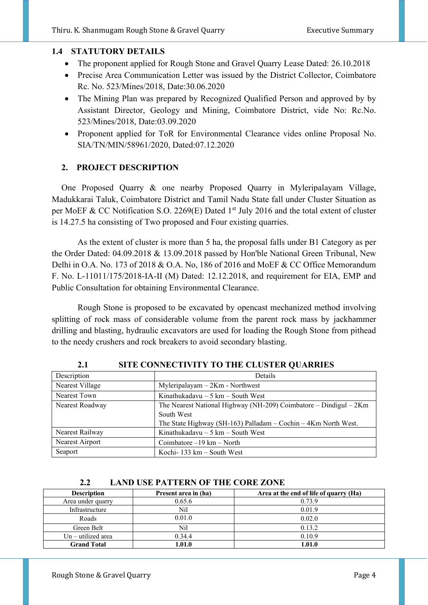#### **1.4 STATUTORY DETAILS**

- The proponent applied for Rough Stone and Gravel Quarry Lease Dated: 26.10.2018
- Precise Area Communication Letter was issued by the District Collector, Coimbatore Rc. No. 523/Mines/2018, Date:30.06.2020
- The Mining Plan was prepared by Recognized Qualified Person and approved by by Assistant Director, Geology and Mining, Coimbatore District, vide No: Rc.No. 523/Mines/2018, Date:03.09.2020
- Proponent applied for ToR for Environmental Clearance vides online Proposal No. SIA/TN/MIN/58961/2020, Dated:07.12.2020

# **2. PROJECT DESCRIPTION**

One Proposed Quarry & one nearby Proposed Quarry in Myleripalayam Village, Madukkarai Taluk, Coimbatore District and Tamil Nadu State fall under Cluster Situation as per MoEF & CC Notification S.O. 2269(E) Dated  $1<sup>st</sup>$  July 2016 and the total extent of cluster is 14.27.5 ha consisting of Two proposed and Four existing quarries.

 As the extent of cluster is more than 5 ha, the proposal falls under B1 Category as per the Order Dated: 04.09.2018 & 13.09.2018 passed by Hon'ble National Green Tribunal, New Delhi in O.A. No. 173 of 2018 & O.A. No, 186 of 2016 and MoEF & CC Office Memorandum F. No. L-11011/175/2018-IA-II (M) Dated: 12.12.2018, and requirement for EIA, EMP and Public Consultation for obtaining Environmental Clearance.

 Rough Stone is proposed to be excavated by opencast mechanized method involving splitting of rock mass of considerable volume from the parent rock mass by jackhammer drilling and blasting, hydraulic excavators are used for loading the Rough Stone from pithead to the needy crushers and rock breakers to avoid secondary blasting.

| Description     | Details                                                           |  |  |
|-----------------|-------------------------------------------------------------------|--|--|
| Nearest Village | Myleripalayam - 2Km - Northwest                                   |  |  |
| Nearest Town    | Kinathukadavu $-5$ km $-$ South West                              |  |  |
| Nearest Roadway | The Nearest National Highway (NH-209) Coimbatore - Dindigul - 2Km |  |  |
|                 | South West                                                        |  |  |
|                 | The State Highway (SH-163) Palladam – Cochin – $4Km$ North West.  |  |  |
| Nearest Railway | Kinathukadavu $-5$ km $-$ South West                              |  |  |
| Nearest Airport | Coimbatore $-19$ km $-$ North                                     |  |  |
| Seaport         | Kochi- 133 km $-$ South West                                      |  |  |

**2.1 SITE CONNECTIVITY TO THE CLUSTER QUARRIES** 

#### **2.2 LAND USE PATTERN OF THE CORE ZONE**

| <b>Description</b>   | Present area in (ha) | Area at the end of life of quarry (Ha) |
|----------------------|----------------------|----------------------------------------|
| Area under quarry    | 0.65.6               | 0.73.9                                 |
| Infrastructure       | Nil                  | 0.01.9                                 |
| Roads                | 0.01.0               | 0.02.0                                 |
| Green Belt           | Nil                  | 0.13.2                                 |
| $Un - utilized area$ | 0.34.4               | 0.10.9                                 |
| <b>Grand Total</b>   | 1.01.0               | 1.01.0                                 |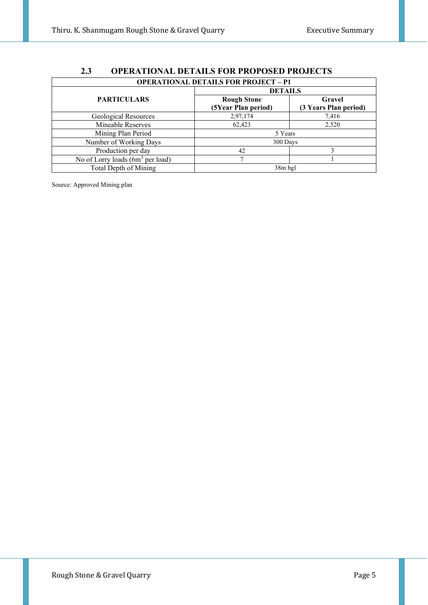| --<br><u>VI LIMITIVATILE DETAILE TURTINUI USED TINUOLU T</u> |                     |                       |  |  |  |
|--------------------------------------------------------------|---------------------|-----------------------|--|--|--|
| <b>OPERATIONAL DETAILS FOR PROJECT - P1</b>                  |                     |                       |  |  |  |
|                                                              | <b>DETAILS</b>      |                       |  |  |  |
| <b>PARTICULARS</b>                                           | <b>Rough Stone</b>  | Gravel                |  |  |  |
|                                                              | (5Year Plan period) | (3 Years Plan period) |  |  |  |
| Geological Resources                                         | 2,97,174            | 7,416                 |  |  |  |
| Mineable Reserves                                            | 62,423              | 2,520                 |  |  |  |
| Mining Plan Period                                           | 5 Years             |                       |  |  |  |
| Number of Working Days                                       | 300 Days            |                       |  |  |  |
| Production per day                                           | 42                  | ٩                     |  |  |  |
| No of Lorry loads (6m <sup>3</sup> per load)                 |                     |                       |  |  |  |
| Total Depth of Mining                                        | 38m bgl             |                       |  |  |  |

# **2.3 OPERATIONAL DETAILS FOR PROPOSED PROJECTS**

Source: Approved Mining plan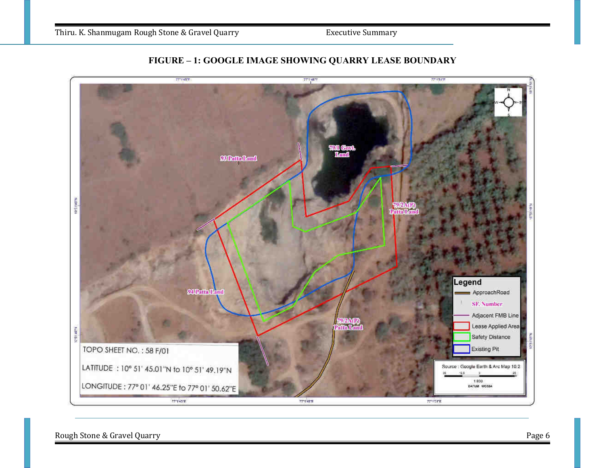



Rough Stone & Gravel Quarry **Page 6**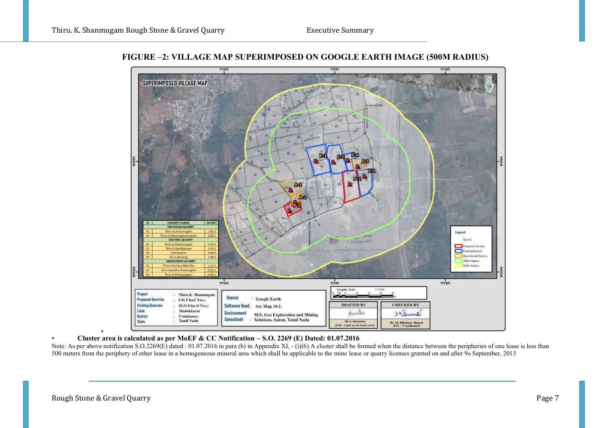

**FIGURE –2: VILLAGE MAP SUPERIMPOSED ON GOOGLE EARTH IMAGE (500M RADIUS)**

• • **Cluster area is calculated as per MoEF & CC Notification – S.O. 2269 (E) Dated: 01.07.2016** 

Note: As per above notification S.O.2269(E) dated : 01.07.2016 in para (b) in Appendix XI,  $-$  (i)(6) A cluster shall be formed when the distance between the peripheries of one lease is less than 500 meters from the periphery of other lease in a homogeneous mineral area which shall be applicable to the mine lease or quarry licenses granted on and after  $9<sub>th</sub>$  September, 2013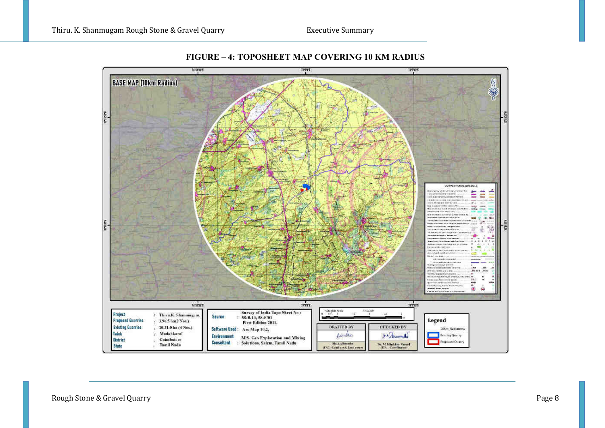

**FIGURE – 4: TOPOSHEET MAP COVERING 10 KM RADIUS**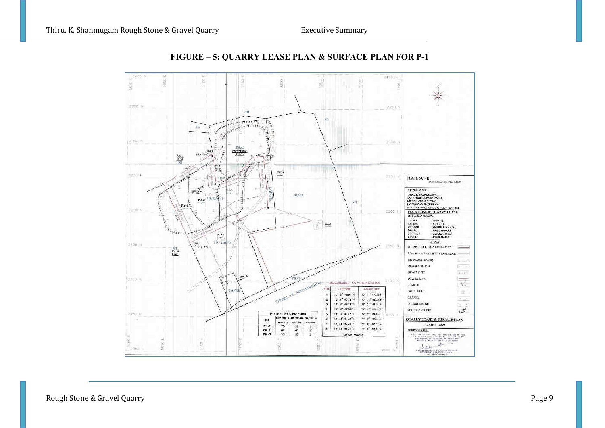

# **FIGURE – 5: QUARRY LEASE PLAN & SURFACE PLAN FOR P-1**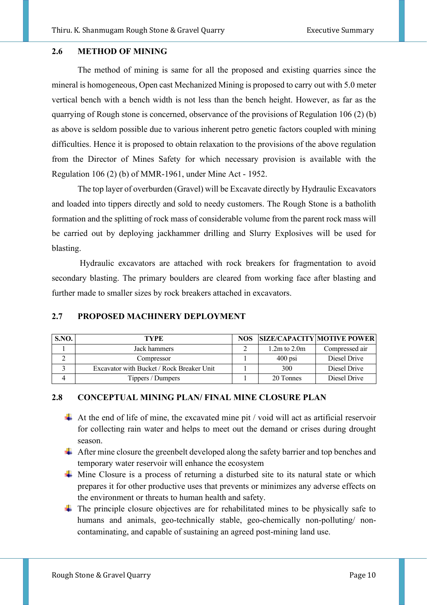#### **2.6 METHOD OF MINING**

The method of mining is same for all the proposed and existing quarries since the mineral is homogeneous, Open cast Mechanized Mining is proposed to carry out with 5.0 meter vertical bench with a bench width is not less than the bench height. However, as far as the quarrying of Rough stone is concerned, observance of the provisions of Regulation 106 (2) (b) as above is seldom possible due to various inherent petro genetic factors coupled with mining difficulties. Hence it is proposed to obtain relaxation to the provisions of the above regulation from the Director of Mines Safety for which necessary provision is available with the Regulation 106 (2) (b) of MMR-1961, under Mine Act - 1952.

The top layer of overburden (Gravel) will be Excavate directly by Hydraulic Excavators and loaded into tippers directly and sold to needy customers. The Rough Stone is a batholith formation and the splitting of rock mass of considerable volume from the parent rock mass will be carried out by deploying jackhammer drilling and Slurry Explosives will be used for blasting.

 Hydraulic excavators are attached with rock breakers for fragmentation to avoid secondary blasting. The primary boulders are cleared from working face after blasting and further made to smaller sizes by rock breakers attached in excavators.

#### **2.7 PROPOSED MACHINERY DEPLOYMENT**

| S.NO. | TYPE                                      | <b>NOS</b> |                  | <b>SIZE/CAPACITY MOTIVE POWER</b> |
|-------|-------------------------------------------|------------|------------------|-----------------------------------|
|       | Jack hammers                              |            | $1.2m$ to $2.0m$ | Compressed air                    |
|       | Compressor                                |            | $400$ psi        | Diesel Drive                      |
|       | Excavator with Bucket / Rock Breaker Unit |            | 300              | Diesel Drive                      |
|       | Tippers / Dumpers                         |            | 20 Tonnes        | Diesel Drive                      |

#### **2.8 CONCEPTUAL MINING PLAN/ FINAL MINE CLOSURE PLAN**

- $\overline{\text{+}}$  At the end of life of mine, the excavated mine pit / void will act as artificial reservoir for collecting rain water and helps to meet out the demand or crises during drought season.
- $\overline{\text{ }+ \text{ } }$  After mine closure the greenbelt developed along the safety barrier and top benches and temporary water reservoir will enhance the ecosystem
- $\overline{\phantom{a}}$  Mine Closure is a process of returning a disturbed site to its natural state or which prepares it for other productive uses that prevents or minimizes any adverse effects on the environment or threats to human health and safety.
- $\overline{\text{F}}$  The principle closure objectives are for rehabilitated mines to be physically safe to humans and animals, geo-technically stable, geo-chemically non-polluting/ noncontaminating, and capable of sustaining an agreed post-mining land use.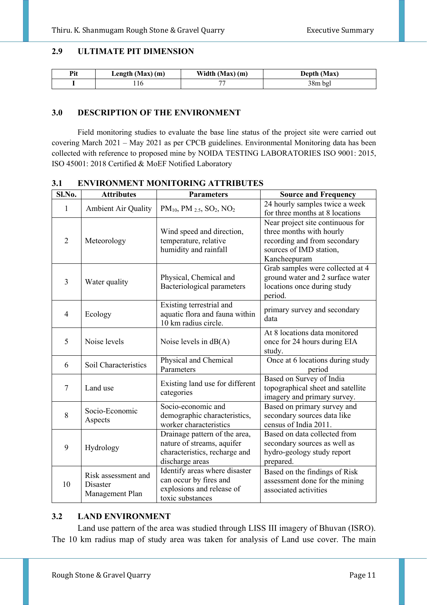#### **2.9 ULTIMATE PIT DIMENSION**

| Pit | Length $(Max)$ (m) | Width (Max) (m) | Depth (Max) |
|-----|--------------------|-----------------|-------------|
|     | . 10               |                 | $38m$ bgl   |

#### **3.0 DESCRIPTION OF THE ENVIRONMENT**

Field monitoring studies to evaluate the base line status of the project site were carried out covering March 2021 – May 2021 as per CPCB guidelines. Environmental Monitoring data has been collected with reference to proposed mine by NOIDA TESTING LABORATORIES ISO 9001: 2015, ISO 45001: 2018 Certified & MoEF Notified Laboratory

| Sl.No.         | <b>Attributes</b>                                         | <b>Parameters</b>                                                                                               | <b>Source and Frequency</b>                                                                                                             |
|----------------|-----------------------------------------------------------|-----------------------------------------------------------------------------------------------------------------|-----------------------------------------------------------------------------------------------------------------------------------------|
| $\mathbf{1}$   | <b>Ambient Air Quality</b>                                | PM <sub>10</sub> , PM <sub>2.5</sub> , SO <sub>2</sub> , NO <sub>2</sub>                                        | 24 hourly samples twice a week<br>for three months at 8 locations                                                                       |
| $\overline{2}$ | Meteorology                                               | Wind speed and direction,<br>temperature, relative<br>humidity and rainfall                                     | Near project site continuous for<br>three months with hourly<br>recording and from secondary<br>sources of IMD station,<br>Kancheepuram |
| 3              | Water quality                                             | Physical, Chemical and<br>Bacteriological parameters                                                            | Grab samples were collected at 4<br>ground water and 2 surface water<br>locations once during study<br>period.                          |
| 4              | Ecology                                                   | Existing terrestrial and<br>aquatic flora and fauna within<br>10 km radius circle.                              | primary survey and secondary<br>data                                                                                                    |
| 5              | Noise levels                                              | Noise levels in $dB(A)$                                                                                         | At 8 locations data monitored<br>once for 24 hours during EIA<br>study.                                                                 |
| 6              | Soil Characteristics                                      | Physical and Chemical<br>Parameters                                                                             | Once at 6 locations during study<br>period                                                                                              |
| 7              | Land use                                                  | Existing land use for different<br>categories                                                                   | Based on Survey of India<br>topographical sheet and satellite<br>imagery and primary survey.                                            |
| 8              | Socio-Economic<br>Aspects                                 | Socio-economic and<br>demographic characteristics,<br>worker characteristics                                    | Based on primary survey and<br>secondary sources data like<br>census of India 2011.                                                     |
| 9              | Hydrology                                                 | Drainage pattern of the area,<br>nature of streams, aquifer<br>characteristics, recharge and<br>discharge areas | Based on data collected from<br>secondary sources as well as<br>hydro-geology study report<br>prepared.                                 |
| 10             | Risk assessment and<br><b>Disaster</b><br>Management Plan | Identify areas where disaster<br>can occur by fires and<br>explosions and release of<br>toxic substances        | Based on the findings of Risk<br>assessment done for the mining<br>associated activities                                                |

#### **3.1 ENVIRONMENT MONITORING ATTRIBUTES**

#### **3.2 LAND ENVIRONMENT**

Land use pattern of the area was studied through LISS III imagery of Bhuvan (ISRO). The 10 km radius map of study area was taken for analysis of Land use cover. The main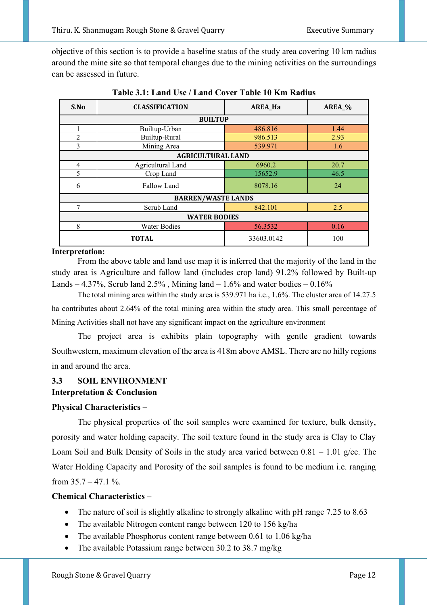objective of this section is to provide a baseline status of the study area covering 10 km radius around the mine site so that temporal changes due to the mining activities on the surroundings can be assessed in future.

| S.No                | <b>CLASSIFICATION</b>             | <b>AREA_Ha</b> | AREA_% |  |  |
|---------------------|-----------------------------------|----------------|--------|--|--|
|                     | <b>BUILTUP</b>                    |                |        |  |  |
|                     | Builtup-Urban                     | 486.816        | 1.44   |  |  |
| $\overline{2}$      | Builtup-Rural                     | 986.513        | 2.93   |  |  |
| 3                   | Mining Area                       | 539.971        | 1.6    |  |  |
|                     | <b>AGRICULTURAL LAND</b>          |                |        |  |  |
| $\overline{4}$      | Agricultural Land                 | 6960.2         | 20.7   |  |  |
| 5                   | Crop Land                         | 15652.9        | 46.5   |  |  |
| 6<br>Fallow Land    |                                   | 8078.16        | 24     |  |  |
|                     | <b>BARREN/WASTE LANDS</b>         |                |        |  |  |
| 7                   | Scrub Land                        | 842.101        | 2.5    |  |  |
| <b>WATER BODIES</b> |                                   |                |        |  |  |
| 8                   | <b>Water Bodies</b>               | 56.3532        | 0.16   |  |  |
|                     | 33603.0142<br>100<br><b>TOTAL</b> |                |        |  |  |

**Table 3.1: Land Use / Land Cover Table 10 Km Radius** 

# **Interpretation:**

 From the above table and land use map it is inferred that the majority of the land in the study area is Agriculture and fallow land (includes crop land) 91.2% followed by Built-up Lands – 4.37%, Scrub land  $2.5\%$ , Mining land – 1.6% and water bodies – 0.16%

The total mining area within the study area is 539.971 ha i.e., 1.6%. The cluster area of 14.27.5 ha contributes about 2.64% of the total mining area within the study area. This small percentage of Mining Activities shall not have any significant impact on the agriculture environment

The project area is exhibits plain topography with gentle gradient towards Southwestern, maximum elevation of the area is 418m above AMSL. There are no hilly regions in and around the area.

# **3.3 SOIL ENVIRONMENT**

# **Interpretation & Conclusion**

# **Physical Characteristics –**

The physical properties of the soil samples were examined for texture, bulk density, porosity and water holding capacity. The soil texture found in the study area is Clay to Clay Loam Soil and Bulk Density of Soils in the study area varied between  $0.81 - 1.01$  g/cc. The Water Holding Capacity and Porosity of the soil samples is found to be medium i.e. ranging from  $35.7 - 47.1$  %.

# **Chemical Characteristics –**

- The nature of soil is slightly alkaline to strongly alkaline with pH range 7.25 to 8.63
- The available Nitrogen content range between 120 to 156 kg/ha
- The available Phosphorus content range between 0.61 to 1.06 kg/ha
- The available Potassium range between 30.2 to 38.7 mg/kg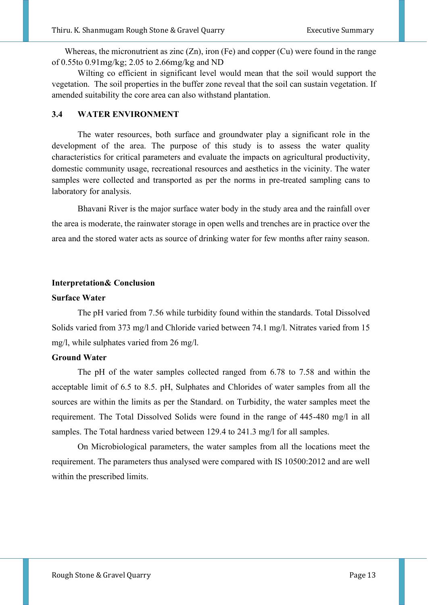Whereas, the micronutrient as zinc  $(Zn)$ , iron  $(Fe)$  and copper  $(Cu)$  were found in the range of 0.55to 0.91mg/kg; 2.05 to 2.66mg/kg and ND

 Wilting co efficient in significant level would mean that the soil would support the vegetation. The soil properties in the buffer zone reveal that the soil can sustain vegetation. If amended suitability the core area can also withstand plantation.

#### **3.4 WATER ENVIRONMENT**

The water resources, both surface and groundwater play a significant role in the development of the area. The purpose of this study is to assess the water quality characteristics for critical parameters and evaluate the impacts on agricultural productivity, domestic community usage, recreational resources and aesthetics in the vicinity. The water samples were collected and transported as per the norms in pre-treated sampling cans to laboratory for analysis.

Bhavani River is the major surface water body in the study area and the rainfall over the area is moderate, the rainwater storage in open wells and trenches are in practice over the area and the stored water acts as source of drinking water for few months after rainy season.

#### **Interpretation& Conclusion**

#### **Surface Water**

The pH varied from 7.56 while turbidity found within the standards. Total Dissolved Solids varied from 373 mg/l and Chloride varied between 74.1 mg/l. Nitrates varied from 15 mg/l, while sulphates varied from 26 mg/l.

#### **Ground Water**

The pH of the water samples collected ranged from 6.78 to 7.58 and within the acceptable limit of 6.5 to 8.5. pH, Sulphates and Chlorides of water samples from all the sources are within the limits as per the Standard. on Turbidity, the water samples meet the requirement. The Total Dissolved Solids were found in the range of 445-480 mg/l in all samples. The Total hardness varied between 129.4 to 241.3 mg/l for all samples.

On Microbiological parameters, the water samples from all the locations meet the requirement. The parameters thus analysed were compared with IS 10500:2012 and are well within the prescribed limits.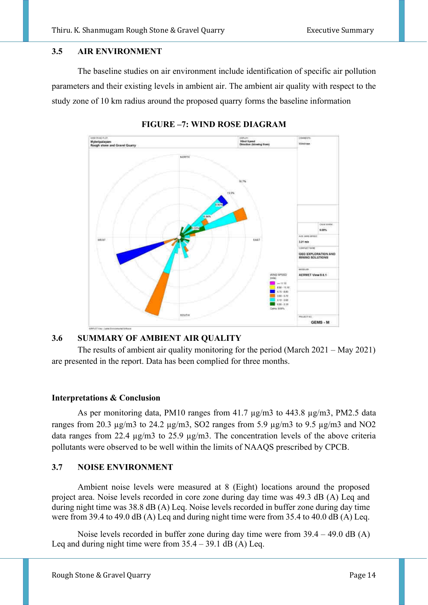#### **3.5 AIR ENVIRONMENT**

The baseline studies on air environment include identification of specific air pollution parameters and their existing levels in ambient air. The ambient air quality with respect to the study zone of 10 km radius around the proposed quarry forms the baseline information



**FIGURE –7: WIND ROSE DIAGRAM** 

# **3.6 SUMMARY OF AMBIENT AIR QUALITY**

The results of ambient air quality monitoring for the period (March 2021 – May 2021) are presented in the report. Data has been complied for three months.

#### **Interpretations & Conclusion**

As per monitoring data, PM10 ranges from 41.7  $\mu$ g/m3 to 443.8  $\mu$ g/m3, PM2.5 data ranges from 20.3  $\mu$ g/m3 to 24.2  $\mu$ g/m3, SO2 ranges from 5.9  $\mu$ g/m3 to 9.5  $\mu$ g/m3 and NO2 data ranges from 22.4 µg/m3 to 25.9 µg/m3. The concentration levels of the above criteria pollutants were observed to be well within the limits of NAAQS prescribed by CPCB.

#### **3.7 NOISE ENVIRONMENT**

Ambient noise levels were measured at 8 (Eight) locations around the proposed project area. Noise levels recorded in core zone during day time was 49.3 dB (A) Leq and during night time was 38.8 dB (A) Leq. Noise levels recorded in buffer zone during day time were from 39.4 to 49.0 dB (A) Leq and during night time were from 35.4 to 40.0 dB (A) Leq.

Noise levels recorded in buffer zone during day time were from 39.4 – 49.0 dB (A) Leq and during night time were from  $35.4 - 39.1$  dB (A) Leq.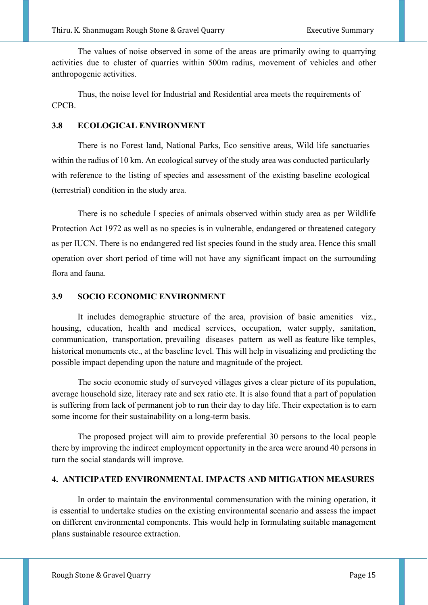The values of noise observed in some of the areas are primarily owing to quarrying activities due to cluster of quarries within 500m radius, movement of vehicles and other anthropogenic activities.

Thus, the noise level for Industrial and Residential area meets the requirements of CPCB.

#### **3.8 ECOLOGICAL ENVIRONMENT**

There is no Forest land, National Parks, Eco sensitive areas, Wild life sanctuaries within the radius of 10 km. An ecological survey of the study area was conducted particularly with reference to the listing of species and assessment of the existing baseline ecological (terrestrial) condition in the study area.

There is no schedule I species of animals observed within study area as per Wildlife Protection Act 1972 as well as no species is in vulnerable, endangered or threatened category as per IUCN. There is no endangered red list species found in the study area. Hence this small operation over short period of time will not have any significant impact on the surrounding flora and fauna.

#### **3.9 SOCIO ECONOMIC ENVIRONMENT**

It includes demographic structure of the area, provision of basic amenities viz., housing, education, health and medical services, occupation, water supply, sanitation, communication, transportation, prevailing diseases pattern as well as feature like temples, historical monuments etc., at the baseline level. This will help in visualizing and predicting the possible impact depending upon the nature and magnitude of the project.

The socio economic study of surveyed villages gives a clear picture of its population, average household size, literacy rate and sex ratio etc. It is also found that a part of population is suffering from lack of permanent job to run their day to day life. Their expectation is to earn some income for their sustainability on a long-term basis.

The proposed project will aim to provide preferential 30 persons to the local people there by improving the indirect employment opportunity in the area were around 40 persons in turn the social standards will improve.

#### **4. ANTICIPATED ENVIRONMENTAL IMPACTS AND MITIGATION MEASURES**

In order to maintain the environmental commensuration with the mining operation, it is essential to undertake studies on the existing environmental scenario and assess the impact on different environmental components. This would help in formulating suitable management plans sustainable resource extraction.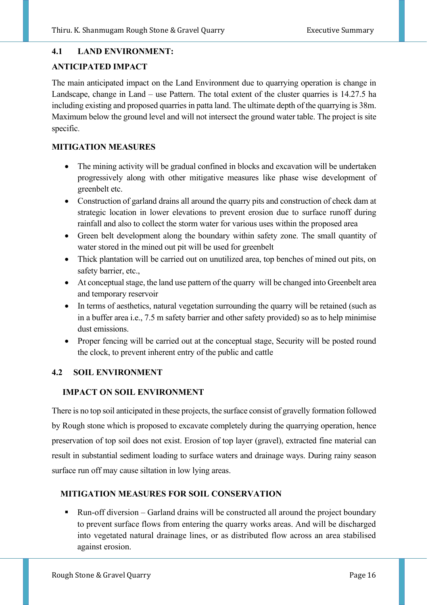# **4.1 LAND ENVIRONMENT:**

# **ANTICIPATED IMPACT**

The main anticipated impact on the Land Environment due to quarrying operation is change in Landscape, change in Land – use Pattern. The total extent of the cluster quarries is 14.27.5 ha including existing and proposed quarries in patta land. The ultimate depth of the quarrying is 38m. Maximum below the ground level and will not intersect the ground water table. The project is site specific.

# **MITIGATION MEASURES**

- The mining activity will be gradual confined in blocks and excavation will be undertaken progressively along with other mitigative measures like phase wise development of greenbelt etc.
- Construction of garland drains all around the quarry pits and construction of check dam at strategic location in lower elevations to prevent erosion due to surface runoff during rainfall and also to collect the storm water for various uses within the proposed area
- Green belt development along the boundary within safety zone. The small quantity of water stored in the mined out pit will be used for greenbelt
- Thick plantation will be carried out on unutilized area, top benches of mined out pits, on safety barrier, etc.,
- At conceptual stage, the land use pattern of the quarry will be changed into Greenbelt area and temporary reservoir
- In terms of aesthetics, natural vegetation surrounding the quarry will be retained (such as in a buffer area i.e., 7.5 m safety barrier and other safety provided) so as to help minimise dust emissions.
- Proper fencing will be carried out at the conceptual stage, Security will be posted round the clock, to prevent inherent entry of the public and cattle

# **4.2 SOIL ENVIRONMENT**

# **IMPACT ON SOIL ENVIRONMENT**

There is no top soil anticipated in these projects, the surface consist of gravelly formation followed by Rough stone which is proposed to excavate completely during the quarrying operation, hence preservation of top soil does not exist. Erosion of top layer (gravel), extracted fine material can result in substantial sediment loading to surface waters and drainage ways. During rainy season surface run off may cause siltation in low lying areas.

# **MITIGATION MEASURES FOR SOIL CONSERVATION**

■ Run-off diversion – Garland drains will be constructed all around the project boundary to prevent surface flows from entering the quarry works areas. And will be discharged into vegetated natural drainage lines, or as distributed flow across an area stabilised against erosion.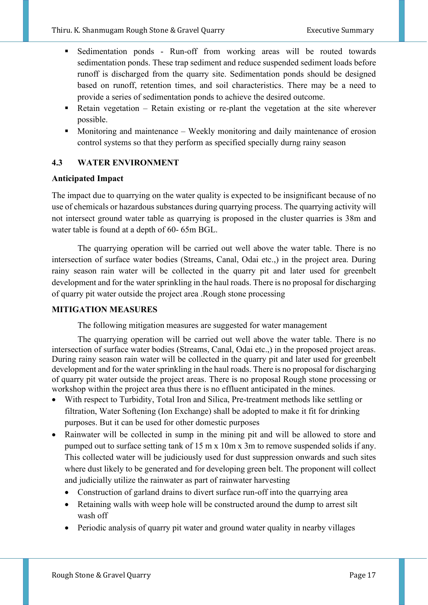- Sedimentation ponds Run-off from working areas will be routed towards sedimentation ponds. These trap sediment and reduce suspended sediment loads before runoff is discharged from the quarry site. Sedimentation ponds should be designed based on runoff, retention times, and soil characteristics. There may be a need to provide a series of sedimentation ponds to achieve the desired outcome.
- $\blacksquare$  Retain vegetation Retain existing or re-plant the vegetation at the site wherever possible.
- Monitoring and maintenance Weekly monitoring and daily maintenance of erosion control systems so that they perform as specified specially durng rainy season

# **4.3 WATER ENVIRONMENT**

# **Anticipated Impact**

The impact due to quarrying on the water quality is expected to be insignificant because of no use of chemicals or hazardous substances during quarrying process. The quarrying activity will not intersect ground water table as quarrying is proposed in the cluster quarries is 38m and water table is found at a depth of 60- 65m BGL.

 The quarrying operation will be carried out well above the water table. There is no intersection of surface water bodies (Streams, Canal, Odai etc.,) in the project area. During rainy season rain water will be collected in the quarry pit and later used for greenbelt development and for the water sprinkling in the haul roads. There is no proposal for discharging of quarry pit water outside the project area .Rough stone processing

# **MITIGATION MEASURES**

The following mitigation measures are suggested for water management

 The quarrying operation will be carried out well above the water table. There is no intersection of surface water bodies (Streams, Canal, Odai etc.,) in the proposed project areas. During rainy season rain water will be collected in the quarry pit and later used for greenbelt development and for the water sprinkling in the haul roads. There is no proposal for discharging of quarry pit water outside the project areas. There is no proposal Rough stone processing or workshop within the project area thus there is no effluent anticipated in the mines.

- With respect to Turbidity, Total Iron and Silica, Pre-treatment methods like settling or filtration, Water Softening (Ion Exchange) shall be adopted to make it fit for drinking purposes. But it can be used for other domestic purposes
- Rainwater will be collected in sump in the mining pit and will be allowed to store and pumped out to surface setting tank of 15 m x 10m x 3m to remove suspended solids if any. This collected water will be judiciously used for dust suppression onwards and such sites where dust likely to be generated and for developing green belt. The proponent will collect and judicially utilize the rainwater as part of rainwater harvesting
	- Construction of garland drains to divert surface run-off into the quarrying area
	- Retaining walls with weep hole will be constructed around the dump to arrest silt wash off
	- Periodic analysis of quarry pit water and ground water quality in nearby villages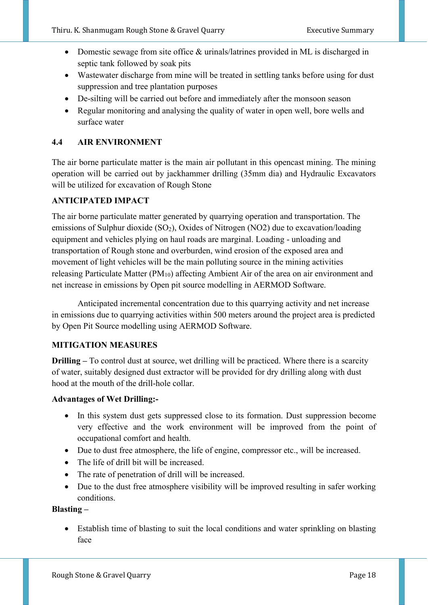- Domestic sewage from site office & urinals/latrines provided in ML is discharged in septic tank followed by soak pits
- Wastewater discharge from mine will be treated in settling tanks before using for dust suppression and tree plantation purposes
- De-silting will be carried out before and immediately after the monsoon season
- Regular monitoring and analysing the quality of water in open well, bore wells and surface water

# **4.4 AIR ENVIRONMENT**

The air borne particulate matter is the main air pollutant in this opencast mining. The mining operation will be carried out by jackhammer drilling (35mm dia) and Hydraulic Excavators will be utilized for excavation of Rough Stone

# **ANTICIPATED IMPACT**

The air borne particulate matter generated by quarrying operation and transportation. The emissions of Sulphur dioxide  $(SO_2)$ , Oxides of Nitrogen (NO2) due to excavation/loading equipment and vehicles plying on haul roads are marginal. Loading - unloading and transportation of Rough stone and overburden, wind erosion of the exposed area and movement of light vehicles will be the main polluting source in the mining activities releasing Particulate Matter (PM10) affecting Ambient Air of the area on air environment and net increase in emissions by Open pit source modelling in AERMOD Software.

Anticipated incremental concentration due to this quarrying activity and net increase in emissions due to quarrying activities within 500 meters around the project area is predicted by Open Pit Source modelling using AERMOD Software.

# **MITIGATION MEASURES**

**Drilling –** To control dust at source, wet drilling will be practiced. Where there is a scarcity of water, suitably designed dust extractor will be provided for dry drilling along with dust hood at the mouth of the drill-hole collar.

# **Advantages of Wet Drilling:-**

- In this system dust gets suppressed close to its formation. Dust suppression become very effective and the work environment will be improved from the point of occupational comfort and health.
- Due to dust free atmosphere, the life of engine, compressor etc., will be increased.
- The life of drill bit will be increased.
- The rate of penetration of drill will be increased.
- Due to the dust free atmosphere visibility will be improved resulting in safer working conditions.

# **Blasting –**

• Establish time of blasting to suit the local conditions and water sprinkling on blasting face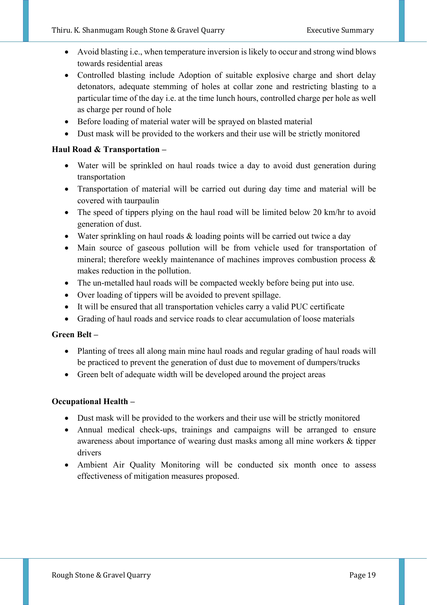- Avoid blasting i.e., when temperature inversion is likely to occur and strong wind blows towards residential areas
- Controlled blasting include Adoption of suitable explosive charge and short delay detonators, adequate stemming of holes at collar zone and restricting blasting to a particular time of the day i.e. at the time lunch hours, controlled charge per hole as well as charge per round of hole
- Before loading of material water will be sprayed on blasted material
- Dust mask will be provided to the workers and their use will be strictly monitored

# **Haul Road & Transportation –**

- Water will be sprinkled on haul roads twice a day to avoid dust generation during transportation
- Transportation of material will be carried out during day time and material will be covered with taurpaulin
- The speed of tippers plying on the haul road will be limited below 20 km/hr to avoid generation of dust.
- Water sprinkling on haul roads & loading points will be carried out twice a day
- Main source of gaseous pollution will be from vehicle used for transportation of mineral; therefore weekly maintenance of machines improves combustion process & makes reduction in the pollution.
- The un-metalled haul roads will be compacted weekly before being put into use.
- Over loading of tippers will be avoided to prevent spillage.
- It will be ensured that all transportation vehicles carry a valid PUC certificate
- Grading of haul roads and service roads to clear accumulation of loose materials

# **Green Belt –**

- Planting of trees all along main mine haul roads and regular grading of haul roads will be practiced to prevent the generation of dust due to movement of dumpers/trucks
- Green belt of adequate width will be developed around the project areas

# **Occupational Health –**

- Dust mask will be provided to the workers and their use will be strictly monitored
- Annual medical check-ups, trainings and campaigns will be arranged to ensure awareness about importance of wearing dust masks among all mine workers & tipper drivers
- Ambient Air Quality Monitoring will be conducted six month once to assess effectiveness of mitigation measures proposed.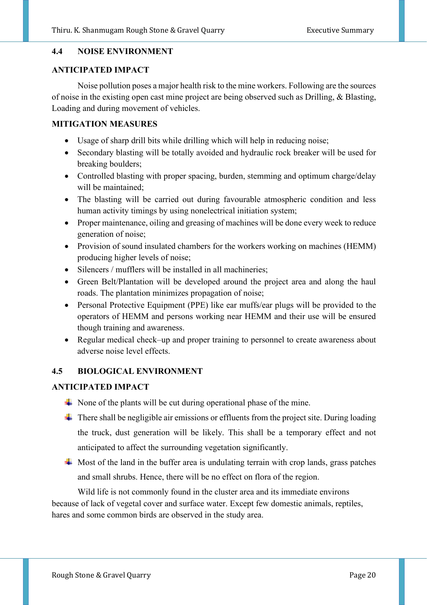#### **4.4 NOISE ENVIRONMENT**

#### **ANTICIPATED IMPACT**

Noise pollution poses a major health risk to the mine workers. Following are the sources of noise in the existing open cast mine project are being observed such as Drilling, & Blasting, Loading and during movement of vehicles.

#### **MITIGATION MEASURES**

- Usage of sharp drill bits while drilling which will help in reducing noise;
- Secondary blasting will be totally avoided and hydraulic rock breaker will be used for breaking boulders;
- Controlled blasting with proper spacing, burden, stemming and optimum charge/delay will be maintained;
- The blasting will be carried out during favourable atmospheric condition and less human activity timings by using nonelectrical initiation system;
- Proper maintenance, oiling and greasing of machines will be done every week to reduce generation of noise;
- Provision of sound insulated chambers for the workers working on machines (HEMM) producing higher levels of noise;
- Silencers / mufflers will be installed in all machineries;
- Green Belt/Plantation will be developed around the project area and along the haul roads. The plantation minimizes propagation of noise;
- Personal Protective Equipment (PPE) like ear muffs/ear plugs will be provided to the operators of HEMM and persons working near HEMM and their use will be ensured though training and awareness.
- Regular medical check–up and proper training to personnel to create awareness about adverse noise level effects.

#### **4.5 BIOLOGICAL ENVIRONMENT**

#### **ANTICIPATED IMPACT**

- $\overline{\phantom{a}}$  None of the plants will be cut during operational phase of the mine.
- $\ddot{\phantom{a}}$  There shall be negligible air emissions or effluents from the project site. During loading the truck, dust generation will be likely. This shall be a temporary effect and not anticipated to affect the surrounding vegetation significantly.
- $\frac{1}{\sqrt{1}}$  Most of the land in the buffer area is undulating terrain with crop lands, grass patches and small shrubs. Hence, there will be no effect on flora of the region.

Wild life is not commonly found in the cluster area and its immediate environs because of lack of vegetal cover and surface water. Except few domestic animals, reptiles, hares and some common birds are observed in the study area.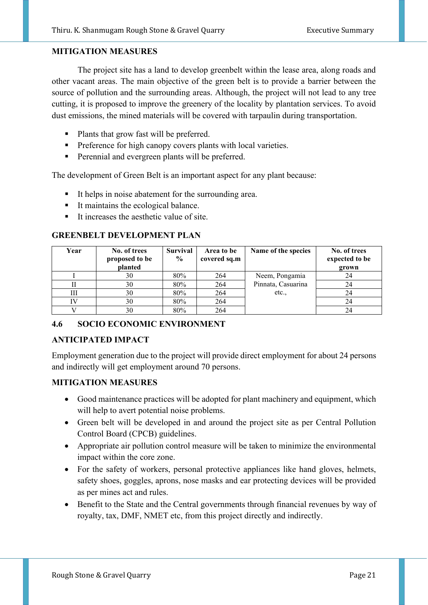#### **MITIGATION MEASURES**

The project site has a land to develop greenbelt within the lease area, along roads and other vacant areas. The main objective of the green belt is to provide a barrier between the source of pollution and the surrounding areas. Although, the project will not lead to any tree cutting, it is proposed to improve the greenery of the locality by plantation services. To avoid dust emissions, the mined materials will be covered with tarpaulin during transportation.

- Plants that grow fast will be preferred.
- **•** Preference for high canopy covers plants with local varieties.
- **•** Perennial and evergreen plants will be preferred.

The development of Green Belt is an important aspect for any plant because:

- It helps in noise abatement for the surrounding area.
- It maintains the ecological balance.
- It increases the aesthetic value of site.

#### **GREENBELT DEVELOPMENT PLAN**

| Year | No. of trees<br>proposed to be<br>planted | <b>Survival</b><br>$\frac{0}{0}$ | Area to be<br>covered sq.m | Name of the species | No. of trees<br>expected to be<br>grown |
|------|-------------------------------------------|----------------------------------|----------------------------|---------------------|-----------------------------------------|
|      | 30                                        | 80%                              | 264                        | Neem, Pongamia      | 24                                      |
|      | 30                                        | 80%                              | 264                        | Pinnata, Casuarina  | 24                                      |
| Ш    | 30                                        | 80%                              | 264                        | etc.,               | 24                                      |
|      | 30                                        | 80%                              | 264                        |                     | 24                                      |
|      | 30                                        | 80%                              | 264                        |                     | 24                                      |

#### **4.6 SOCIO ECONOMIC ENVIRONMENT**

#### **ANTICIPATED IMPACT**

Employment generation due to the project will provide direct employment for about 24 persons and indirectly will get employment around 70 persons.

#### **MITIGATION MEASURES**

- Good maintenance practices will be adopted for plant machinery and equipment, which will help to avert potential noise problems.
- Green belt will be developed in and around the project site as per Central Pollution Control Board (CPCB) guidelines.
- Appropriate air pollution control measure will be taken to minimize the environmental impact within the core zone.
- For the safety of workers, personal protective appliances like hand gloves, helmets, safety shoes, goggles, aprons, nose masks and ear protecting devices will be provided as per mines act and rules.
- Benefit to the State and the Central governments through financial revenues by way of royalty, tax, DMF, NMET etc, from this project directly and indirectly.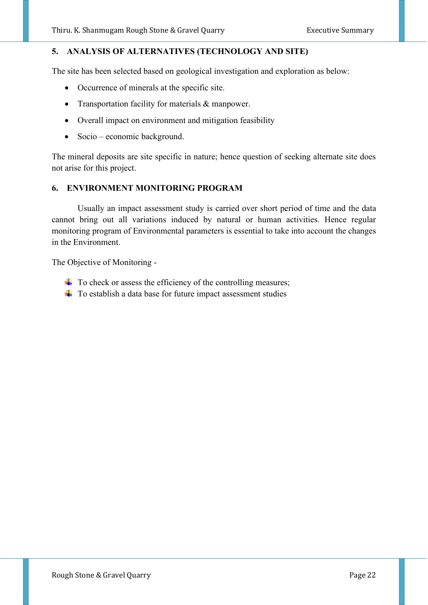# **5. ANALYSIS OF ALTERNATIVES (TECHNOLOGY AND SITE)**

The site has been selected based on geological investigation and exploration as below:

- Occurrence of minerals at the specific site.
- Transportation facility for materials & manpower.
- Overall impact on environment and mitigation feasibility
- Socio economic background.

The mineral deposits are site specific in nature; hence question of seeking alternate site does not arise for this project.

#### **6. ENVIRONMENT MONITORING PROGRAM**

Usually an impact assessment study is carried over short period of time and the data cannot bring out all variations induced by natural or human activities. Hence regular monitoring program of Environmental parameters is essential to take into account the changes in the Environment.

The Objective of Monitoring -

- $\overline{\text{+}}$  To check or assess the efficiency of the controlling measures;
- $\overline{\phantom{a}}$  To establish a data base for future impact assessment studies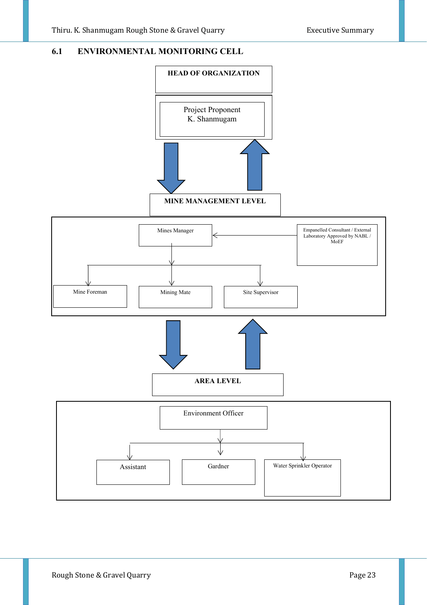# **6.1 ENVIRONMENTAL MONITORING CELL**

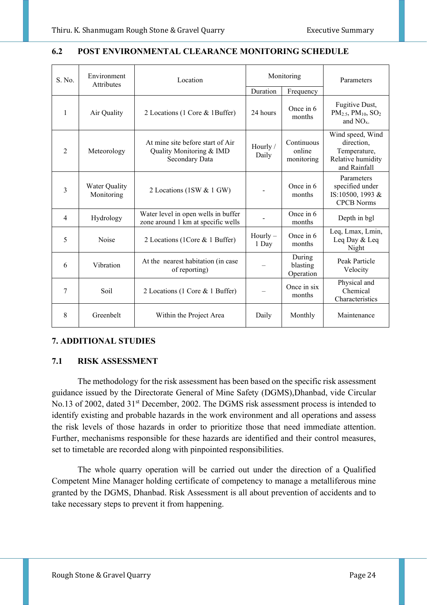| S. No.         | Environment<br><b>Attributes</b> | Location                                                                       | Monitoring          |                                    | Parameters                                                                          |
|----------------|----------------------------------|--------------------------------------------------------------------------------|---------------------|------------------------------------|-------------------------------------------------------------------------------------|
|                |                                  |                                                                                | Duration            | Frequency                          |                                                                                     |
| 1              | Air Quality                      | 2 Locations (1 Core & 1Buffer)                                                 | 24 hours            | Once in 6<br>months                | Fugitive Dust,<br>$PM2.5, PM10, SO2$<br>and $NOx$ .                                 |
| 2              | Meteorology                      | At mine site before start of Air<br>Quality Monitoring & IMD<br>Secondary Data | Hourly /<br>Daily   | Continuous<br>online<br>monitoring | Wind speed, Wind<br>direction,<br>Temperature,<br>Relative humidity<br>and Rainfall |
| 3              | Water Quality<br>Monitoring      | 2 Locations (1SW & 1 GW)                                                       |                     | Once in 6<br>months                | Parameters<br>specified under<br>IS:10500, 1993 &<br><b>CPCB Norms</b>              |
| $\overline{4}$ | Hydrology                        | Water level in open wells in buffer<br>zone around 1 km at specific wells      |                     | Once in 6<br>months                | Depth in bgl                                                                        |
| 5              | Noise                            | 2 Locations (1Core & 1 Buffer)                                                 | $Hourly -$<br>1 Day | Once in 6<br>months                | Leq, Lmax, Lmin,<br>Leq Day & Leq<br>Night                                          |
| 6              | Vibration                        | At the nearest habitation (in case<br>of reporting)                            |                     | During<br>blasting<br>Operation    | Peak Particle<br>Velocity                                                           |
| 7              | Soil                             | 2 Locations (1 Core & 1 Buffer)                                                |                     | Once in six<br>months              | Physical and<br>Chemical<br>Characteristics                                         |
| 8              | Greenbelt                        | Within the Project Area                                                        | Daily               | Monthly                            | Maintenance                                                                         |

#### **6.2 POST ENVIRONMENTAL CLEARANCE MONITORING SCHEDULE**

# **7. ADDITIONAL STUDIES**

#### **7.1 RISK ASSESSMENT**

The methodology for the risk assessment has been based on the specific risk assessment guidance issued by the Directorate General of Mine Safety (DGMS),Dhanbad, vide Circular No.13 of 2002, dated 31<sup>st</sup> December, 2002. The DGMS risk assessment process is intended to identify existing and probable hazards in the work environment and all operations and assess the risk levels of those hazards in order to prioritize those that need immediate attention. Further, mechanisms responsible for these hazards are identified and their control measures, set to timetable are recorded along with pinpointed responsibilities.

The whole quarry operation will be carried out under the direction of a Qualified Competent Mine Manager holding certificate of competency to manage a metalliferous mine granted by the DGMS, Dhanbad. Risk Assessment is all about prevention of accidents and to take necessary steps to prevent it from happening.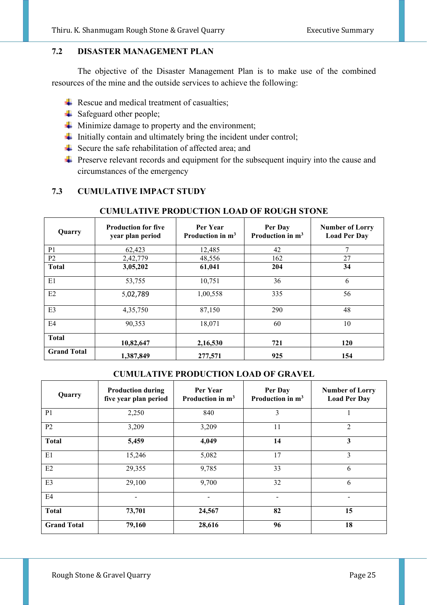#### **7.2 DISASTER MANAGEMENT PLAN**

 The objective of the Disaster Management Plan is to make use of the combined resources of the mine and the outside services to achieve the following:

- $\overline{\text{Res}}$  Rescue and medical treatment of casualties;
- $\frac{1}{\sqrt{2}}$  Safeguard other people;
- $\frac{1}{\sqrt{1}}$  Minimize damage to property and the environment;
- $\ddot{\text{I}}$  Initially contain and ultimately bring the incident under control;
- $\overline{\text{I}}$  Secure the safe rehabilitation of affected area; and
- $\ddot{\phantom{1}}$  Preserve relevant records and equipment for the subsequent inquiry into the cause and circumstances of the emergency

# **7.3 CUMULATIVE IMPACT STUDY**

# **CUMULATIVE PRODUCTION LOAD OF ROUGH STONE**

| Quarry             | <b>Production for five</b><br>year plan period | Per Year<br>Production in $m3$ | Per Day<br>Production in $m3$ | <b>Number of Lorry</b><br><b>Load Per Day</b> |
|--------------------|------------------------------------------------|--------------------------------|-------------------------------|-----------------------------------------------|
| P <sub>1</sub>     | 62,423                                         | 12.485                         | 42                            | 7                                             |
| P <sub>2</sub>     | 2,42,779                                       | 48,556                         | 162                           | 27                                            |
| <b>Total</b>       | 3,05,202                                       | 61,041                         | 204                           | 34                                            |
| E1                 | 53,755                                         | 10,751                         | 36                            | 6                                             |
| E2                 | 5,02,789                                       | 1,00,558                       | 335                           | 56                                            |
| E <sub>3</sub>     | 4,35,750                                       | 87,150                         | 290                           | 48                                            |
| E4                 | 90,353                                         | 18,071                         | 60                            | 10                                            |
| <b>Total</b>       | 10,82,647                                      | 2,16,530                       | 721                           | <b>120</b>                                    |
| <b>Grand Total</b> | 1,387,849                                      | 277,571                        | 925                           | 154                                           |

#### **CUMULATIVE PRODUCTION LOAD OF GRAVEL**

| Quarry             | <b>Production during</b><br>five year plan period | Per Year<br>Production in $m3$ | Per Day<br>Production in m <sup>3</sup> | <b>Number of Lorry</b><br><b>Load Per Day</b> |
|--------------------|---------------------------------------------------|--------------------------------|-----------------------------------------|-----------------------------------------------|
| P <sub>1</sub>     | 2,250                                             | 840                            | 3                                       |                                               |
| P <sub>2</sub>     | 3,209                                             | 3,209                          | 11                                      | $\overline{2}$                                |
| <b>Total</b>       | 5,459                                             | 4,049                          | 14                                      | 3                                             |
| E1                 | 15,246                                            | 5,082                          | 17                                      | 3                                             |
| E2                 | 29,355                                            | 9,785                          | 33                                      | 6                                             |
| E3                 | 29,100                                            | 9,700                          | 32                                      | 6                                             |
| E4                 |                                                   |                                |                                         | $\blacksquare$                                |
| <b>Total</b>       | 73,701                                            | 24,567                         | 82                                      | 15                                            |
| <b>Grand Total</b> | 79,160                                            | 28,616                         | 96                                      | 18                                            |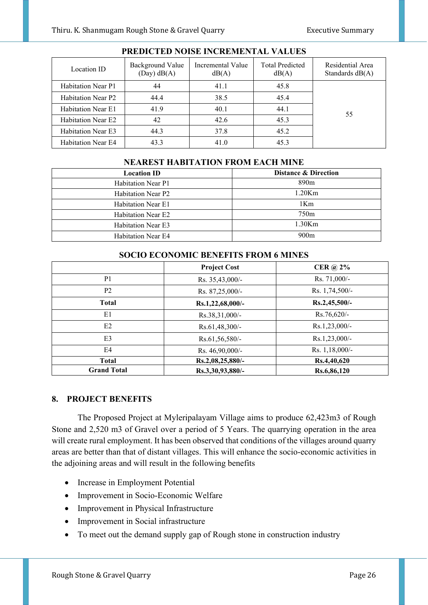| Location ID               | Background Value<br>$(Day)$ dB $(A)$ | Incremental Value<br>dB(A) | <b>Total Predicted</b><br>dB(A) | Residential Area<br>Standards $dB(A)$ |
|---------------------------|--------------------------------------|----------------------------|---------------------------------|---------------------------------------|
| <b>Habitation Near P1</b> | 44                                   | 41.1                       | 45.8                            |                                       |
| <b>Habitation Near P2</b> | 44.4                                 | 38.5                       | 45.4                            |                                       |
| Habitation Near E1        | 41.9                                 | 40.1                       | 44.1                            | 55                                    |
| <b>Habitation Near E2</b> | 42                                   | 42.6                       | 45.3                            |                                       |
| <b>Habitation Near E3</b> | 44.3                                 | 37.8                       | 45.2                            |                                       |
| <b>Habitation Near E4</b> | 43.3                                 | 41.0                       | 45.3                            |                                       |

# **PREDICTED NOISE INCREMENTAL VALUES**

#### **NEAREST HABITATION FROM EACH MINE**

| <b>Location ID</b>        | <b>Distance &amp; Direction</b> |
|---------------------------|---------------------------------|
| <b>Habitation Near P1</b> | 890m                            |
| <b>Habitation Near P2</b> | $1.20$ Km                       |
| <b>Habitation Near E1</b> | 1Km                             |
| <b>Habitation Near E2</b> | 750 <sub>m</sub>                |
| <b>Habitation Near E3</b> | $1.30$ Km                       |
| <b>Habitation Near E4</b> | 900m                            |

#### **SOCIO ECONOMIC BENEFITS FROM 6 MINES**

|                    | <b>Project Cost</b> | CER $\omega$ 2% |
|--------------------|---------------------|-----------------|
| P <sub>1</sub>     | Rs. 35,43,000/-     | Rs. 71,000/-    |
| P <sub>2</sub>     | Rs. 87,25,000/-     | Rs. 1,74,500/-  |
| <b>Total</b>       | Rs.1,22,68,000/-    | $Rs.2,45,500/-$ |
| E1                 | Rs.38,31,000/-      | $Rs.76,620/-$   |
| E2                 | Rs.61,48,300/-      | $Rs.1,23,000/-$ |
| E <sub>3</sub>     | Rs.61,56,580/-      | $Rs.1,23,000/-$ |
| E4                 | Rs. 46,90,000/-     | Rs. 1,18,000/-  |
| <b>Total</b>       | Rs.2,08,25,880/-    | Rs.4,40,620     |
| <b>Grand Total</b> | Rs.3,30,93,880/-    | Rs.6,86,120     |

#### **8. PROJECT BENEFITS**

The Proposed Project at Myleripalayam Village aims to produce 62,423m3 of Rough Stone and 2,520 m3 of Gravel over a period of 5 Years. The quarrying operation in the area will create rural employment. It has been observed that conditions of the villages around quarry areas are better than that of distant villages. This will enhance the socio-economic activities in the adjoining areas and will result in the following benefits

- Increase in Employment Potential
- Improvement in Socio-Economic Welfare
- Improvement in Physical Infrastructure
- Improvement in Social infrastructure
- To meet out the demand supply gap of Rough stone in construction industry